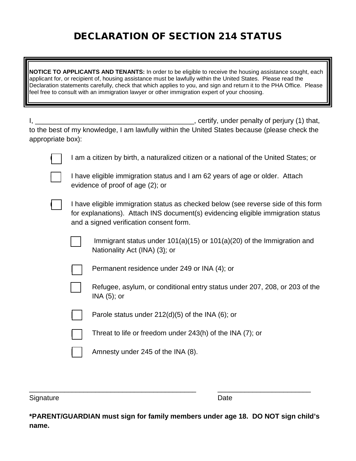## DECLARATION OF SECTION 214 STATUS

**NOTICE TO APPLICANTS AND TENANTS:** In order to be eligible to receive the housing assistance sought, each applicant for, or recipient of, housing assistance must be lawfully within the United States. Please read the Declaration statements carefully, check that which applies to you, and sign and return it to the PHA Office. Please feel free to consult with an immigration lawyer or other immigration expert of your choosing.

| Ι,                |                                                                                                                                                                                                                   | _, certify, under penalty of perjury (1) that,                                                              |
|-------------------|-------------------------------------------------------------------------------------------------------------------------------------------------------------------------------------------------------------------|-------------------------------------------------------------------------------------------------------------|
| appropriate box): |                                                                                                                                                                                                                   | to the best of my knowledge, I am lawfully within the United States because (please check the               |
|                   | I am a citizen by birth, a naturalized citizen or a national of the United States; or                                                                                                                             |                                                                                                             |
|                   | I have eligible immigration status and I am 62 years of age or older. Attach<br>evidence of proof of age (2); or                                                                                                  |                                                                                                             |
|                   | I have eligible immigration status as checked below (see reverse side of this form<br>for explanations). Attach INS document(s) evidencing eligible immigration status<br>and a signed verification consent form. |                                                                                                             |
|                   |                                                                                                                                                                                                                   | Immigrant status under $101(a)(15)$ or $101(a)(20)$ of the Immigration and<br>Nationality Act (INA) (3); or |
|                   |                                                                                                                                                                                                                   | Permanent residence under 249 or INA (4); or                                                                |
|                   |                                                                                                                                                                                                                   | Refugee, asylum, or conditional entry status under 207, 208, or 203 of the<br>$INA(5)$ ; or                 |
|                   |                                                                                                                                                                                                                   | Parole status under $212(d)(5)$ of the INA (6); or                                                          |
|                   |                                                                                                                                                                                                                   | Threat to life or freedom under $243(h)$ of the INA $(7)$ ; or                                              |
|                   |                                                                                                                                                                                                                   | Amnesty under 245 of the INA (8).                                                                           |

Signature Date Date

**\*PARENT/GUARDIAN must sign for family members under age 18. DO NOT sign child's name.**

\_\_\_\_\_\_\_\_\_\_\_\_\_\_\_\_\_\_\_\_\_\_\_\_\_\_\_\_\_\_\_\_\_\_\_\_\_\_\_\_\_\_\_ \_\_\_\_\_\_\_\_\_\_\_\_\_\_\_\_\_\_\_\_\_\_\_\_